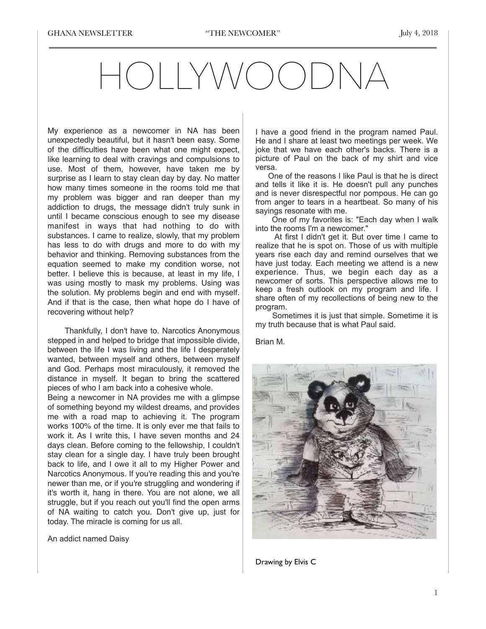## HOLLYWOODNA

My experience as a newcomer in NA has been unexpectedly beautiful, but it hasn't been easy. Some of the difficulties have been what one might expect, like learning to deal with cravings and compulsions to use. Most of them, however, have taken me by surprise as I learn to stay clean day by day. No matter how many times someone in the rooms told me that my problem was bigger and ran deeper than my addiction to drugs, the message didn't truly sunk in until I became conscious enough to see my disease manifest in ways that had nothing to do with substances. I came to realize, slowly, that my problem has less to do with drugs and more to do with my behavior and thinking. Removing substances from the equation seemed to make my condition worse, not better. I believe this is because, at least in my life, I was using mostly to mask my problems. Using was the solution. My problems begin and end with myself. And if that is the case, then what hope do I have of recovering without help?

 Thankfully, I don't have to. Narcotics Anonymous stepped in and helped to bridge that impossible divide, between the life I was living and the life I desperately wanted, between myself and others, between myself and God. Perhaps most miraculously, it removed the distance in myself. It began to bring the scattered pieces of who I am back into a cohesive whole.

Being a newcomer in NA provides me with a glimpse of something beyond my wildest dreams, and provides me with a road map to achieving it. The program works 100% of the time. It is only ever me that fails to work it. As I write this, I have seven months and 24 days clean. Before coming to the fellowship, I couldn't stay clean for a single day. I have truly been brought back to life, and I owe it all to my Higher Power and Narcotics Anonymous. If you're reading this and you're newer than me, or if you're struggling and wondering if it's worth it, hang in there. You are not alone, we all struggle, but if you reach out you'll find the open arms of NA waiting to catch you. Don't give up, just for today. The miracle is coming for us all.

An addict named Daisy

I have a good friend in the program named Paul. He and I share at least two meetings per week. We joke that we have each other's backs. There is a picture of Paul on the back of my shirt and vice versa.

 One of the reasons I like Paul is that he is direct and tells it like it is. He doesn't pull any punches and is never disrespectful nor pompous. He can go from anger to tears in a heartbeat. So many of his sayings resonate with me.

 One of my favorites is: "Each day when I walk into the rooms I'm a newcomer."

 At first I didn't get it. But over time I came to realize that he is spot on. Those of us with multiple years rise each day and remind ourselves that we have just today. Each meeting we attend is a new experience. Thus, we begin each day as a newcomer of sorts. This perspective allows me to keep a fresh outlook on my program and life. I share often of my recollections of being new to the program.

 Sometimes it is just that simple. Sometime it is my truth because that is what Paul said.

Brian M.



Drawing by Elvis C